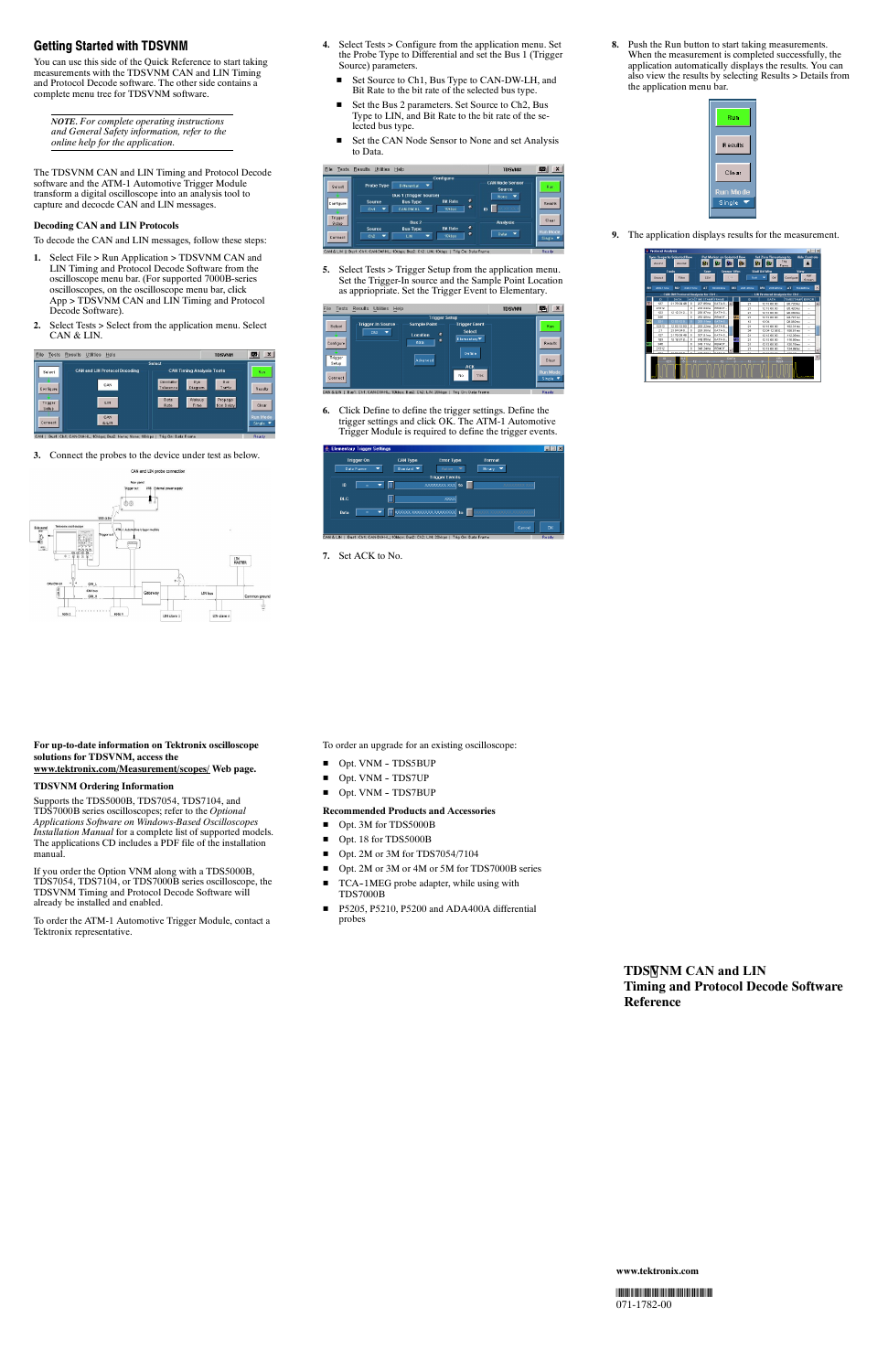# **Getting Started with TDSVNM**

You can use this side of the Quick Reference to start taking measurements with the TDSVNM CAN and LIN Timing and Protocol Decode software. The other side contains a complete menu tree for TDSVNM software.

*NOTE. For complete operating instructions and General Safety information, refer to the online help for the application.*

The TDSVNM CAN and LIN Timing and Protocol Decode software and the ATM-1 Automotive Trigger Module transform a digital oscilloscope into an analysis tool to capture and decocde CAN and LIN messages.

# **Decoding CAN and LIN Protocols**

To decode the CAN and LIN messages, follow these steps:

- **1.** Select File > Run Application > TDSVNM CAN and LIN Timing and Protocol Decode Software from the oscilloscope menu bar. (For supported 7000B-series oscilloscopes, on the oscilloscope menu bar, click App > TDSVNM CAN and LIN Timing and Protocol Decode Software).
- **2.** Select Tests > Select from the application menu. Select CAN & LIN.



**3.** Connect the probes to the device under test as below.



- **4.** Select Tests > Configure from the application menu. Set the Probe Type to Differential and set the Bus 1 (Trigger Source) parameters.
	- Set Source to Ch1, Bus Type to CAN-DW-LH, and Bit Rate to the bit rate of the selected bus type.
	- Set the Bus 2 parameters. Set Source to Ch2, Bus Type to LIN, and Bit Rate to the bit rate of the selected bus type.
	- Set the CAN Node Sensor to None and set Analysis to Data.

| File<br><b>Tests</b>              | Utilities<br><b>Results</b>     | Help                                                                                    |                                     | <b>TDSVNM</b>                                              | $\boldsymbol{\mathsf{x}}$<br>L. |
|-----------------------------------|---------------------------------|-----------------------------------------------------------------------------------------|-------------------------------------|------------------------------------------------------------|---------------------------------|
| Select<br>Configure               | <b>Probe Type</b>               | Differential<br>▼                                                                       | Configure                           | <b>CAN Node Sensor</b><br>Source<br>▼<br>None<br>50.<br>ID | Run                             |
|                                   | Source<br>Ch1                   | <b>Bus 1 (Trigger Source)</b><br><b>Bus Type</b><br>CAN-DW-HL                           | ۰<br><b>Bit Rate</b><br>۰<br>10kbps |                                                            | <b>Results</b>                  |
| Trigger<br>Setup                  | <b>Source</b>                   | Bus <sub>2</sub><br><b>Bus Type</b>                                                     | ۰<br><b>Bit Rate</b><br>۰           | <b>Analysis</b><br>$\overline{\phantom{a}}$<br>Data        | Clear<br><b>Run Mode</b>        |
| Connect<br><b>CAN &amp; LIN T</b> | Cb2<br>$\overline{\phantom{a}}$ | LIN<br>-<br>Bust: Cht: CAN-DW-HL: 10kbns: Bus2: Ch2: LIN: 10kbns: L.Trig On: Data Frame | 10kbps                              |                                                            | Single $\blacksquare$<br>Ready  |

**5.** Select Tests > Trigger Setup from the application menu. Set the Trigger-In source and the Sample Point Location as appriopriate. Set the Trigger Event to Elementary.



- Opt. 3M for TDS5000B
- Opt. 18 for TDS5000B
- Opt. 2M or 3M for TDS7054/7104
- Opt. 2M or 3M or 4M or 5M for TDS7000B series
- TCA-1MEG probe adapter, while using with TDS7000B
- P5205, P5210, P5200 and ADA400A differential probes

**6.** Click Define to define the trigger settings. Define the trigger settings and click OK. The ATM-1 Automotive Trigger Module is required to define the trigger events.

| <b>Elementary Trigger Settings</b> |                   |   |                 |                          |          |                                 |                |
|------------------------------------|-------------------|---|-----------------|--------------------------|----------|---------------------------------|----------------|
|                                    | <b>Trigger On</b> |   | <b>CAN Type</b> | <b>Error Type</b>        | Format   |                                 |                |
|                                    | Data Frame        | ▼ | Standard W      | <b>Active</b><br>٠       | Binary V |                                 |                |
|                                    |                   |   |                 | <b>Trigger Events</b>    |          |                                 |                |
| ID                                 | Ξ                 | ┳ |                 | XXXXXXXXXX to            |          |                                 |                |
| <b>DLC</b>                         |                   | Ħ |                 | <b>xxxxx</b>             |          |                                 |                |
| Data                               | Ξ                 | ٠ |                 | oooda xaadoox xaadoox to |          | <b>XXXXX XXXXXXXX XXXXXXXXX</b> |                |
|                                    |                   |   |                 |                          |          | Cancel                          | a <sub>k</sub> |

**7.** Set ACK to No.

**8.** Push the Run button to start taking measurements. When the measurement is completed successfully, the application automatically displays the results. You can also view the results by selecting Results > Details from the application menu bar.



**9.** The application displays results for the measurement.



#### **For up-to-date information on Tektronix oscilloscope solutions for TDSVNM, access the www.tektronix.com/Measurement/scopes/ Web page.**

## **TDSVNM Ordering Information**

Supports the TDS5000B, TDS7054, TDS7104, and TDS7000B series oscilloscopes; refer to the *Optional Applications Software on Windows-Based Oscilloscopes Installation Manual* for a complete list of supported models. The applications CD includes a PDF file of the installation manual.

If you order the Option VNM along with a TDS5000B, TDS7054, TDS7104, or TDS7000B series oscilloscope, the TDSVNM Timing and Protocol Decode Software will already be installed and enabled.

To order the ATM-1 Automotive Trigger Module, contact a Tektronix representative.

To order an upgrade for an existing oscilloscope:

- Opt. VNM TDS5BUP
- $\blacksquare$  Opt. VNM TDS7UP
- Opt. VNM TDS7BUP

### **Recommended Products and Accessories**



#### **www.tektronix.com**